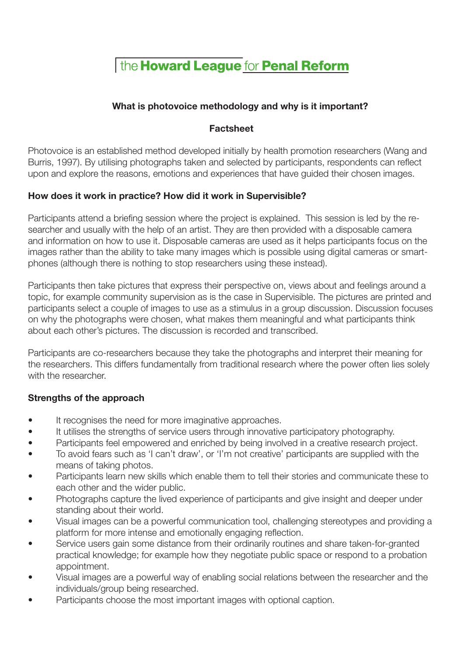The Howard League for Penal Reform

## **What is photovoice methodology and why is it important?**

### **Factsheet**

Photovoice is an established method developed initially by health promotion researchers (Wang and Burris, 1997). By utilising photographs taken and selected by participants, respondents can reflect upon and explore the reasons, emotions and experiences that have guided their chosen images.

#### **How does it work in practice? How did it work in Supervisible?**

Participants attend a briefing session where the project is explained. This session is led by the researcher and usually with the help of an artist. They are then provided with a disposable camera and information on how to use it. Disposable cameras are used as it helps participants focus on the images rather than the ability to take many images which is possible using digital cameras or smartphones (although there is nothing to stop researchers using these instead).

Participants then take pictures that express their perspective on, views about and feelings around a topic, for example community supervision as is the case in Supervisible. The pictures are printed and participants select a couple of images to use as a stimulus in a group discussion. Discussion focuses on why the photographs were chosen, what makes them meaningful and what participants think about each other's pictures. The discussion is recorded and transcribed.

Participants are co-researchers because they take the photographs and interpret their meaning for the researchers. This differs fundamentally from traditional research where the power often lies solely with the researcher.

#### **Strengths of the approach**

- It recognises the need for more imaginative approaches.
- It utilises the strengths of service users through innovative participatory photography.
- Participants feel empowered and enriched by being involved in a creative research project.
- To avoid fears such as 'I can't draw', or 'I'm not creative' participants are supplied with the means of taking photos.
- Participants learn new skills which enable them to tell their stories and communicate these to each other and the wider public.
- Photographs capture the lived experience of participants and give insight and deeper under standing about their world.
- Visual images can be a powerful communication tool, challenging stereotypes and providing a platform for more intense and emotionally engaging reflection.
- Service users gain some distance from their ordinarily routines and share taken-for-granted practical knowledge; for example how they negotiate public space or respond to a probation appointment.
- Visual images are a powerful way of enabling social relations between the researcher and the individuals/group being researched.
- Participants choose the most important images with optional caption.